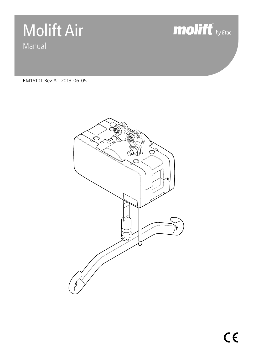# Molift Air Manual



BM16101 Rev A 2013-06-05

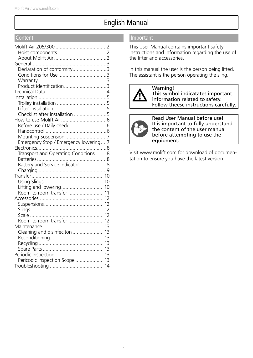# English Manual

#### Content

| Declaration of conformity3<br>Product identification3 |
|-------------------------------------------------------|
|                                                       |
|                                                       |
|                                                       |
|                                                       |
|                                                       |
|                                                       |
|                                                       |
|                                                       |
|                                                       |
|                                                       |
|                                                       |
| Checklist after installation 5                        |
|                                                       |
|                                                       |
|                                                       |
|                                                       |
|                                                       |
| Emergency Stop / Emergency lowering7                  |
|                                                       |
| Transport and Operating Conditions8                   |
|                                                       |
| Battery and Service indicator8                        |
|                                                       |
|                                                       |
|                                                       |
| Lifting and lowering 10                               |
| Room to room transfer  11                             |
|                                                       |
|                                                       |
|                                                       |
|                                                       |
| Room to room transfer  12                             |
|                                                       |
| Cleaning and disinfeciton  13                         |
|                                                       |
|                                                       |
|                                                       |
|                                                       |
| Pericodic Inspection Scope  13                        |
|                                                       |

### Important

This User Manual contains important safety instructions and information regarding the use of the lifter and accessories.

In this manual the user is the person being lifted. The assistant is the person operating the sling.



Warning! This symbol indicatates important information related to safety. Follow theese instructions carefully.



Read User Manual before use! It is important to fully understand the content of the user manual before attempting to use the equipment.

Visit www.molift.com for download of documentation to ensure you have the latest version.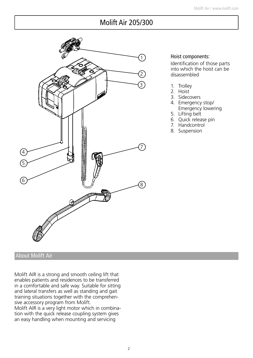# Molift Air 205/300



#### Hoist components:

Identification of those parts into which the hoist can be disassembled

- 1. Trolley
- 2. Hoist
- 3. Sidecovers
- 4. Emergency stop/ Emergency lowering
- 5. Lifting belt
- 6. Quick release pin
- 7. Handcontrol
- 8. Suspension

### About Molift Air

Molift AIR is a strong and smooth ceiling lift that enables patients and residences to be transferred in a comfortable and safe way. Suitable for sitting and lateral transfers as well as standing and gait training situations together with the comprehensive accessory program from Molift.

Molift AIR is a very light motor which in combination with the quick release coupling system gives an easy handling when mounting and servicing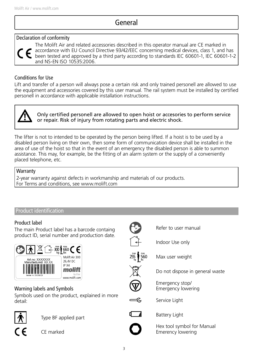# General

# Declaration of conformity

The Molift Air and related accessories described in this operator manual are CE marked in accordance with EU Council Directive 93/42/EEC concerning medical devices, class 1, and has been tested and approved by a third party according to standards IEC 60601-1, IEC 60601-1-2 and NS-EN ISO 10535:2006.

# Conditions for Use

Lift and transfer of a person will always pose a certain risk and only trained personell are allowed to use the equipment and accessories covered by this user manual. The rail system must be installed by certified personell in accordance with applicable installation instructions.



Only certified personell are allowed to open hoist or accesories to perform service or repair. Risk of injury from rotating parts and electric shock.

The lifter is not to intended to be operated by the person being lifted. If a hoist is to be used by a disabled person living on their own, then some form of communication device shall be installed in the area of use of the hoist so that in the event of an emergency the disabled person is able to summon assistance. This may, for example, be the fitting of an alarm system or the supply of a conveniently placed telephone, etc.

### **Warranty**

2-year warranty against defects in workmanship and materials of our products. For Terms and conditions, see www.molift.com

# Product identification

# Product label

The main Product label has a barcode containg product ID, serial number and production date.



# Warning labels and Symbols

Symbols used on the product, explained in more detail:



Type BF applied part



CE marked



Refer to user manual

Indoor Use only



560 Max user weight

Do not dispose in general waste

Emergency stop/ Emergency lowering

Service Light

Battery Light

Hex tool symbol for Manual Emerency lowering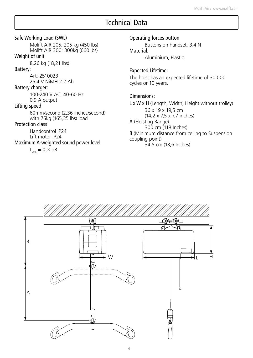# Technical Data

Safe Working Load (SWL) Molift AIR 205: 205 kg (450 lbs) Molift AIR 300: 300kg (660 lbs) Weight of unit 8,26 kg (18,21 lbs) Battery: Art: 2510023 26.4 V NiMH 2.2 Ah Battery charger: 100-240 V AC, 40-60 Hz 0,9 A output Lifting speed 60mm/second (2,36 inches/second) with 75kg (165,35 lbs) load Protection class Handcontrol IP24 Lift motor IP24 Maximum A-weighted sound power level  $L_{WA} = X, X \, dB$ 

Operating forces button

 Buttons on handset: 3.4 N Material:

Aluminium, Plastic

Expected Lifetime: The hoist has an expected lifetime of 30 000 cycles or 10 years.

#### Dimensions:

L x W x H (Length, Width, Height without trolley) 36 x 19 x 19,5 cm (14,2 x 7,5 x 7,7 inches) A (Hoisting Range) 300 cm (118 Inches) B (Minimum distance from ceiling to Suspension coupling point) 34,5 cm (13,6 Inches)

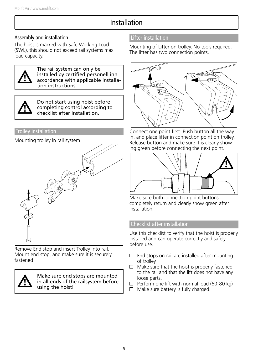# Installation

### Assembly and installation

The hoist is marked with Safe Working Load (SWL), this should not exceed rail systems max load capacity.



The rail system can only be installed by certified personell inn accordance with applicable installation instructions.



Do not start using hoist before completing control according to checklist after installation.

### Trolley installation

Mounting trolley in rail system



Remove End stop and insert Trolley into rail. Mount end stop, and make sure it is securely fastened



Make sure end stops are mounted in all ends of the railsystem before using the hoist!

# Lifter installation

Mounting of Lifter on trolley. No tools required. The lifter has two connection points.



Connect one point first. Push button all the way in, and place lifter in connection point on trolley. Release button and make sure it is clearly showing green before connecting the next point.



Make sure both connection point buttons completely return and clearly show green after installation.

# Checklist after installation

Use this checklist to verify that the hoist is properly installed and can operate correctly and safely before use.

- $\Box$  End stops on rail are installed after mounting of trolley
- $\Box$  Make sure that the hoist is properly fastened to the rail and that the lift does not have any loose parts.
- $\Box$  Perform one lift with normal load (60-80 kg)
- $\Box$  Make sure battery is fully charged.

5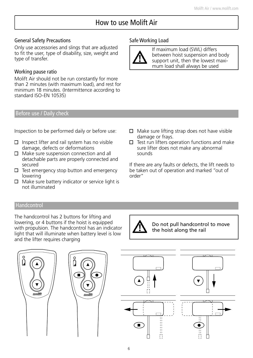# How to use Molift Air

### General Safety Precautions

Only use accessories and slings that are adjusted to fit the user, type of disability, size, weight and type of transfer.

#### Working pause ratio

Molift Air should not be run constantly for more than 2 minutes (with maximum load), and rest for minimum 18 minutes. (Intermittence according to standard ISO-EN 10535)

#### Before use / Daily check

Inspection to be performed daily or before use:

- $\square$  Inspect lifter and rail system has no visible damage, defects or deformations
- $\Box$  Make sure suspension connection and all detachable parts are properly connected and secured
- $\Box$  Test emergency stop button and emergency lowering
- $\Box$  Make sure battery indicator or service light is not illuminated

#### Safe Working Load



If maximum load (SWL) differs between hoist suspension and body support unit, then the lowest maximum load shall always be used

- $\Box$  Make sure lifting strap does not have visible damage or frays.
- $\square$  Test run lifters operation functions and make sure lifter does not make any abnormal sounds

If there are any faults or defects, the lift needs to be taken out of operation and marked "out of order"

#### **Handcontrol**

The handcontrol has 2 buttons for lifting and lowering, or 4 buttons if the hoist is equipped with propulsion. The handcontrol has an indicator light that will illuminate when battery level is low and the lifter requires charging



Do not pull handcontrol to move the hoist along the rail

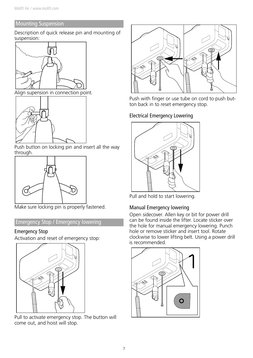# **Mounting Suspension**

Description of quick release pin and mounting of suspension:



Align supension in connection point.



Push button on locking pin and insert all the way through.



Make sure locking pin is properly fastened.

### Emergency Stop / Emergency lowering

#### Emergency Stop

Activation and reset of emergency stop:



Pull to activate emergency stop. The button will come out, and hoist will stop.



Push with finger or use tube on cord to push button back in to reset emergency stop.

#### Electrical Emergency Lowering



Pull and hold to start lowering.

#### Manual Emergency lowering

Open sidecover. Allen key or bit for power drill can be found inside the lifter. Locate sticker over the hole for manual emergency lowering. Punch hole or remove sticker and insert tool. Rotate clockwise to lower lifting belt. Using a power drill is recommended.

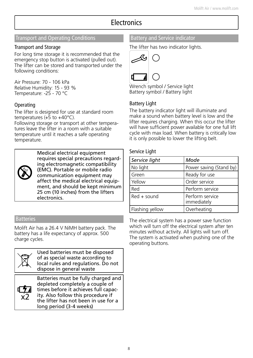# **Electronics**

#### Transport and Operating Conditions

#### Transport and Storage

For long time storage it is recommended that the emergency stop button is activated (pulled out). The lifter can be stored and transported under the following conditions:

Air Pressure: 70 - 106 kPa Relative Humidity: 15 - 93 % Temperature: -25 - 70 °C

#### **Operating**

The lifter is designed for use at standard room temperatures  $(+5$  to  $+40^{\circ}$ C).

Following storage or transport at other temperatures leave the lifter in a room with a suitable temperature until it reaches a safe operating temperature.



Medical electrical equipment requires special precautions regarding electromagnetic compatibility (EMC). Portable or mobile radio communication equipment may affect the medical electrical equipment, and should be kept minimum 25 cm (10 inches) from the lifters electronics.

#### **Batteries**

Molift Air has a 26.4 V NiMH battery pack. The battery has a life expectancy of approx. 500 charge cycles.



x2

Used batteries must be disposed of as special waste according to local rules and regulations. Do not dispose in general waste

Batteries must be fully charged and depleted completely a couple of times before it achieves full capacity. Also follow this procedure if the lifter has not been in use for a long period (3-4 weeks)

#### Battery and Service indicator

The lifter has two indicator lights.



Wrench symbol / Service light Battery symbol / Battery light

#### Battery Light

The battery indicator light will illuminate and make a sound when battery level is low and the lifter requires charging. When this occur the lifter will have sufficient power available for one full lift cycle with max load. When battery is critically low it is only possible to lower the lifting belt.

#### Service Light

| Service light   | Mode                           |
|-----------------|--------------------------------|
| No light        | Power saving (Stand by)        |
| Green           | Ready for use                  |
| Yellow          | Order service                  |
| Red             | Perform service                |
| $Red + sound$   | Perform service<br>immediately |
| Flashing yellow | Overheating                    |

The electrical system has a power save function which will turn off the electrical system after ten minutes without activity. All lights will turn off. The system is activated when pushing one of the operating buttons.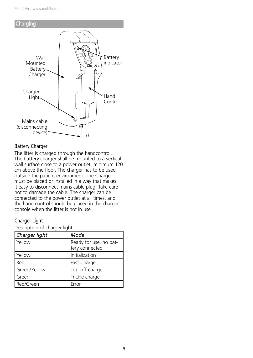

#### Battery Charger

The lifter is charged through the handcontrol. The battery charger shall be mounted to a vertical wall surface close to a power outlet, minimum 120 cm above the floor. The charger has to be used outside the patient environment. The Charger must be placed or installed in a way that makes it easy to disconnect mains cable plug. Take care not to damage the cable. The charger can be connected to the power outlet at all times, and the hand control should be placed in the charger console when the lifter is not in use.

### Charger Light

Description of charger light:

| Charger light | Mode                                     |
|---------------|------------------------------------------|
| Yellow        | Ready for use, no bat-<br>tery connected |
| Yellow        | Initialization                           |
| Red           | Fast Charge                              |
| Green/Yellow  | Top-off charge                           |
| Green         | Trickle charge                           |
| Red/Green     | Error                                    |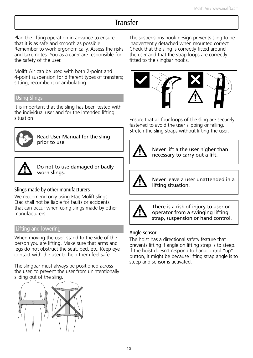# **Transfer**

Plan the lifting operation in advance to ensure that it is as safe and smooth as possible. Remember to work ergonomically. Assess the risks and take notes. You as a carer are responsible for the safety of the user.

Molift Air can be used with both 2-point and 4-point suspension for different types of transfers; sitting, recumbent or ambulating.

#### Using Slings

It is important that the sling has been tested with the individual user and for the intended lifting situation.



Read User Manual for the sling prior to use.



Do not to use damaged or badly worn slings.

### Slings made by other manufacturers

We reccomend only using Etac Molift slings. Etac shall not be liable for faults or accidents that can occur when using slings made by other manufacturers.

#### Lifting and lowering

When moving the user, stand to the side of the person you are lifting. Make sure that arms and legs do not obstruct the seat, bed, etc. Keep eye contact with the user to help them feel safe.

The slingbar must always be positioned across the user, to prevent the user from unintentionally sliding out of the sling.



The suspensions hook design prevents sling to be inadvertently detached when mounted correct. Check that the sling is correctly fitted around the user and that the strap loops are correctly fitted to the slingbar hooks.



Ensure that all four loops of the sling are securely fastened to avoid the user slipping or falling. Stretch the sling straps without lifting the user.



Never lift a the user higher than necessary to carry out a lift.



Never leave a user unattended in a lifting situation.



There is a risk of injury to user or operator from a swinging lifting strap, suspension or hand control.

#### Angle sensor

The hoist has a directional safety feature that prevents lifting if angle on lifting strap is to steep. If the hoist doesn't respond to handcontrol "up" button, it might be because lifting strap angle is to steep and sensor is activated.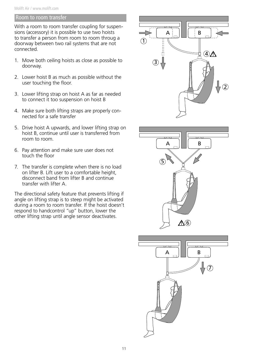#### Room to room transfer

With a room to room transfer coupling for suspensions (accessory) it is possible to use two hoists to transfer a person from room to room throug a doorway between two rail systems that are not connected.

- 1. Move both ceiling hoists as close as possible to doorway.
- 2. Lower hoist B as much as possible without the user touching the floor.
- 3. Lower lifting strap on hoist A as far as needed to connect it too suspension on hoist B
- 4. Make sure both lifting straps are properly connected for a safe transfer
- 5. Drive hoist A upwards, and lower lifting strap on hoist B, continue until user is transferred from room to room.
- 6. Pay attention and make sure user does not touch the floor
- 7. The transfer is complete when there is no load on lifter B. Lift user to a comfortable height, disconnect band from lifter B and continue transfer with lifter A.

The directional safety feature that prevents lifting if angle on lifting strap is to steep might be activated during a room to room transfer. If the hoist doesn't respond to handcontrol "up" button, lower the other lifting strap until angle sensor deactivates.





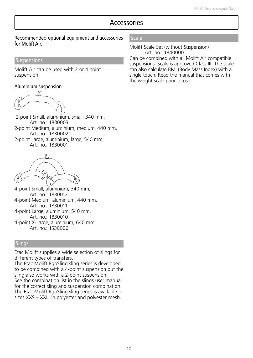# Accessories

Recommended optional equipment and accessories for Molift Air.

#### **Suspensions**

Molift Air can be used with 2 or 4 point suspension.

#### Aluminium suspension



 2-point Small, aluminium, small, 340 mm, Art. no.: 1830003 2-point Medium, aluminium, medium, 440 mm, Art. no.: 1830002 2-point Large, aluminium, large, 540 mm, Art. no.: 1830001



4-point Small, aluminium, 340 mm, Art. no.: 1830012 4-point Medium, aluminium, 440 mm, Art. no.: 1830011 4-point Large, aluminium, 540 mm, Art. no.: 1830010 4-point X-Large, aluminium, 640 mm, Art. no.: 1530006

#### Slings

Etac Molift supplies a wide selection of slings for different types of transfers.

The Etac Molift RgoSling sling series is developed to be combined with a 4-point suspension but the sling also works with a 2-point suspension.

See the combination list in the slings user manual for the correct sling and suspension combination. The Etac Molift RgoSling sling series is available in sizes XXS – XXL, in polyester and polyester mesh.

#### Scale

Molift Scale Set (without Suspension) Art. no.: 1840000 Can be combined with all Molift Air compatible suspensions. Scale is approved Class III. The scale can also calculate BMI (Body Mass Index) with a single touch. Read the manual that comes with the weight scale prior to use.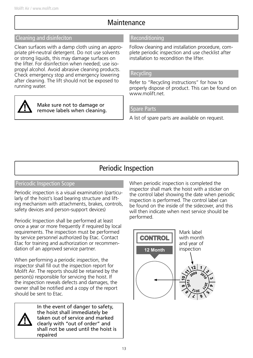# **Maintenance**

### Cleaning and disinfeciton

Clean surfaces with a damp cloth using an appropriate pH-neutral detergent. Do not use solvents or strong liquids, this may damage surfaces on the lifter. For disinfection when needed; use isopropyl alcohol. Avoid abrasive cleaning products. Check emergency stop and emergency lowering after cleaning. The lift should not be exposed to running water.



Make sure not to damage or remove labels when cleaning.

### Reconditioning

Follow cleaning and installation procedure, complete periodic inspection and use checklist after installation to recondition the lifter.

#### **Recycling**

Refer to "Recycling instructions" for how to properly dispose of product. This can be found on www.molift.net

#### Spare Parts

A list of spare parts are available on request.

# Periodic Inspection

#### Pericodic Inspection Scope

Periodic inspection is a visual examination (particularly of the hoist's load bearing structure and lifting mechanism with attachments, brakes, controls, safety devices and person-support devices)

Periodic Inspection shall be performed at least once a year or more frequently if required by local requirements. The inspection must be performed by service personnel authorized by Etac. Contact Etac for training and authorization or recommendation of an approved service partner.

When performing a periodic inspection, the inspector shall fill out the inspection report for Molift Air. The reports should be retained by the person(s) responsible for servicing the hoist. If the inspection reveals defects and damages, the owner shall be notified and a copy of the report should be sent to Etac.



In the event of danger to safety, the hoist shall immediately be taken out of service and marked clearly with "out of order" and shall not be used until the hoist is repaired

When periodic inspection is completed the inspector shall mark the hoist with a sticker on the control label showing the date when periodic inspection is performed. The control label can be found on the inside of the sidecover, and this will then indicate when next service should be performed.

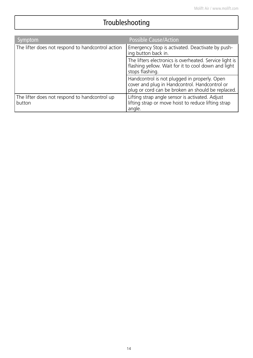# Troubleshooting

| Symptom                                                 | <b>Possible Cause/Action</b>                                                                                                                       |
|---------------------------------------------------------|----------------------------------------------------------------------------------------------------------------------------------------------------|
| The lifter does not respond to handcontrol action       | Emergency Stop is activated. Deactivate by push-<br>ing button back in.                                                                            |
|                                                         | The lifters electronics is overheated. Service light is<br>flashing yellow. Wait for it to cool down and light<br>stops flashing.                  |
|                                                         | Handcontrol is not plugged in properly. Open<br>cover and plug in Handcontrol. Handcontrol or<br>plug or cord can be broken an should be replaced. |
| The lifter does not respond to handcontrol up<br>button | Lifting strap angle sensor is activated. Adjust<br>lifting strap or move hoist to reduce lifting strap<br>angle.                                   |